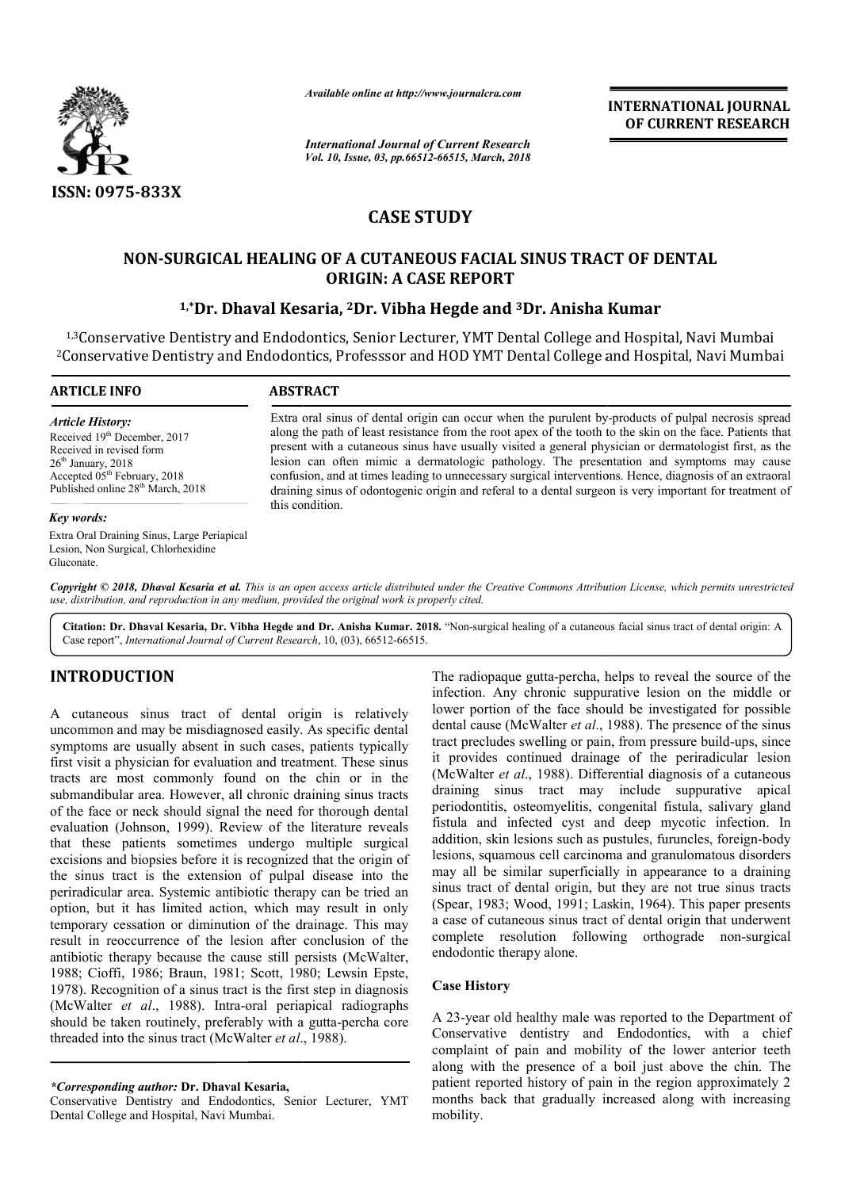

*Available online at http://www.journalcra.com*

*International Journal of Current Research Vol. 10, Issue, 03, pp.66512-66515, March, 2018*

**INTERNATIONAL JOURNAL OF CURRENT RESEARCH**

# **CASE STUDY**

# **NON-SURGICAL HEALING OF A CUTANEOUS FACIAL SINUS TRACT OF DENTAL SURGICAL ORIGIN: A CASE REPORT 1,\*Dr. Dr. 2008** IRGICAL HEALING OF A CUTANEOUS FACIAL SINUS TRACT OF DENTAL<br>ORIGIN: A CASE REPORT<br><sup>1,\*</sup>Dr. Dhaval Kesaria, <sup>2</sup>Dr. Vibha Hegde and <sup>3</sup>Dr. Anisha Kumar

<sup>1,3</sup>Conservative Dentistry and Endodontics, Senior Lecturer, YMT Dental College and Hospital, Navi Mumbai 2Conservative Dentistry and Endodontics, Professsor and HOD YMT Dental College and Hospital, Navi Mumbai

#### **ARTICLE INFO ABSTRACT** Extra oral sinus of dental origin can occur when the purulent by-products of pulpal necrosis spread along the path of least resistance from the root apex of the tooth to the skin on the face. Patients that present with a cutaneous sinus have usually visited a general physician or dermatologist first, as the lesion can often mimic a dermatologic pathology. The presentation and symptoms may cause confusion, and at times leading to unnecessary surgical interventions. Hence, diagnosis of an extraoral draining sinus of odontogenic origin and referal to a dental surgeon is very important for treatment of this condition. *Article History:* Received 19<sup>th</sup> December, 2017 Received in revised form  $26<sup>th</sup>$  January,  $2018$ Accepted  $05<sup>th</sup>$  February, 2018 Published online  $28<sup>th</sup>$  March, 2018 along the path of least resistance from the root apex of the tooth to the skin on the face. Patients that present with a cutaneous sinus have usually visited a general physician or dermatologist first, as the lesion can of

#### *Key words:*

Extra Oral Draining Sinus, Large Periapical Lesion, Non Surgical, Chlorhexidine Gluconate.

Copyright © 2018, Dhaval Kesaria et al. This is an open access article distributed under the Creative Commons Attribution License, which permits unrestrictea *use, distribution, and reproduction in any medium, provided the original work is properly cited.*

Citation: Dr. Dhaval Kesaria, Dr. Vibha Hegde and Dr. Anisha Kumar. 2018. "Non-surgical healing of a cutaneous facial sinus tract of dental origin: A Case report", *International Journal of Current Research* , 10, (03), 66512-66515.

# **INTRODUCTION**

A cutaneous sinus tract of dental origin is relatively uncommon and may be misdiagnosed easily. As specific dental symptoms are usually absent in such cases, patients typically first visit a physician for evaluation and treatment. These sinus tracts are most commonly found on the chin or in the submandibular area. However, all chronic draining sinus tracts of the face or neck should signal the need for thorough dental evaluation (Johnson, 1999). Review of the literature reveals that these patients sometimes undergo multiple surgical excisions and biopsies before it is recognized that the origin of the sinus tract is the extension of pulpal disease into the periradicular area. Systemic antibiotic therapy can be tried an option, but it has limited action, which may result in only temporary cessation or diminution of the drainage. This may result in reoccurrence of the lesion after conclusion of the antibiotic therapy because the cause still persists (McWalter, 1988; Cioffi, 1986; Braun, 1981; Scott, 1980; Lewsin Epste, 1978). Recognition of a sinus tract is the first step in diagnosis (McWalter *et al*., 1988). Intra-oral periapical radiographs (McWalter *et al.*, 1988). Intra-oral periapical radiographs should be taken routinely, preferably with a gutta-percha core threaded into the sinus tract (McWalter *et al*., 1988). , all chronic draining s<br>ginal the need for thorou<br>Review of the literatu<br>nes undergo multiple<br>it is recognized that the<br>sion of pulpal disease<br>multionic therapy can b<br>tion, which may resu<br>ution, which may resu

Conservative Dentistry and Endodontics, Senior Lecturer, YMT Dental College and Hospital, Navi Mumbai.

The radiopaque gutta-percha, helps to reveal the source of the infection. Any chronic suppurative lesion on the middle or lower portion of the face should be investigated for possible dental cause (McWalter *et al.*, 1988). The presence of the sinus tract precludes swelling or pain, from pressure build-ups, since it provides continued drainage of the periradicular lesion (McWalter *et al*., 1988). Differential diagnosis of a cutaneous draining sinus tract may include suppurative apical periodontitis, osteomyelitis, congenital fistula, salivary gland fistula and infected cyst and deep mycotic infection. In draining sinus tract may include suppurative apical<br>periodontitis, osteomyelitis, congenital fistula, salivary gland<br>fistula and infected cyst and deep mycotic infection. In<br>addition, skin lesions such as pustules, furuncl lesions, squamous cell carcinoma and granulomatous disorders may all be similar superficially in appearance to a draining sinus tract of dental origin, but they are not true sinus tracts (Spear, 1983; Wood, 1991; Laskin, 1964). This paper presents a case of cutaneous sinus tract of dental origin that underwent complete resolution following orthograde non-surgical endodontic therapy alone. The radiopaque gutta-percha, helps to reveal the source of the infection. Any chronic suppurative lesion on the middle or lower portion of the face should be investigated for possible esions, squamous cell carcinoma and granulomatous disorders<br>may all be similar superficially in appearance to a draining<br>inus tract of dental origin, but they are not true sinus tracts<br>Spear, 1983; Wood, 1991; Laskin, 1964

# **Case History**

A 23-year old healthy male was reported to the Department of Conservative dentistry and Endodontics, with a chief complaint of pain and mobility of the lower anterior teeth along with the presence of a boil just above the chin. The patient reported history of pain in the region approximately 2 A 23-year old healthy male was reported to the Department of Conservative dentistry and Endodontics, with a chief complaint of pain and mobility of the lower anterior teeth along with the presence of a boil just above the mobility.

*<sup>\*</sup>Corresponding author:* **Dr. Dhaval Kesaria,**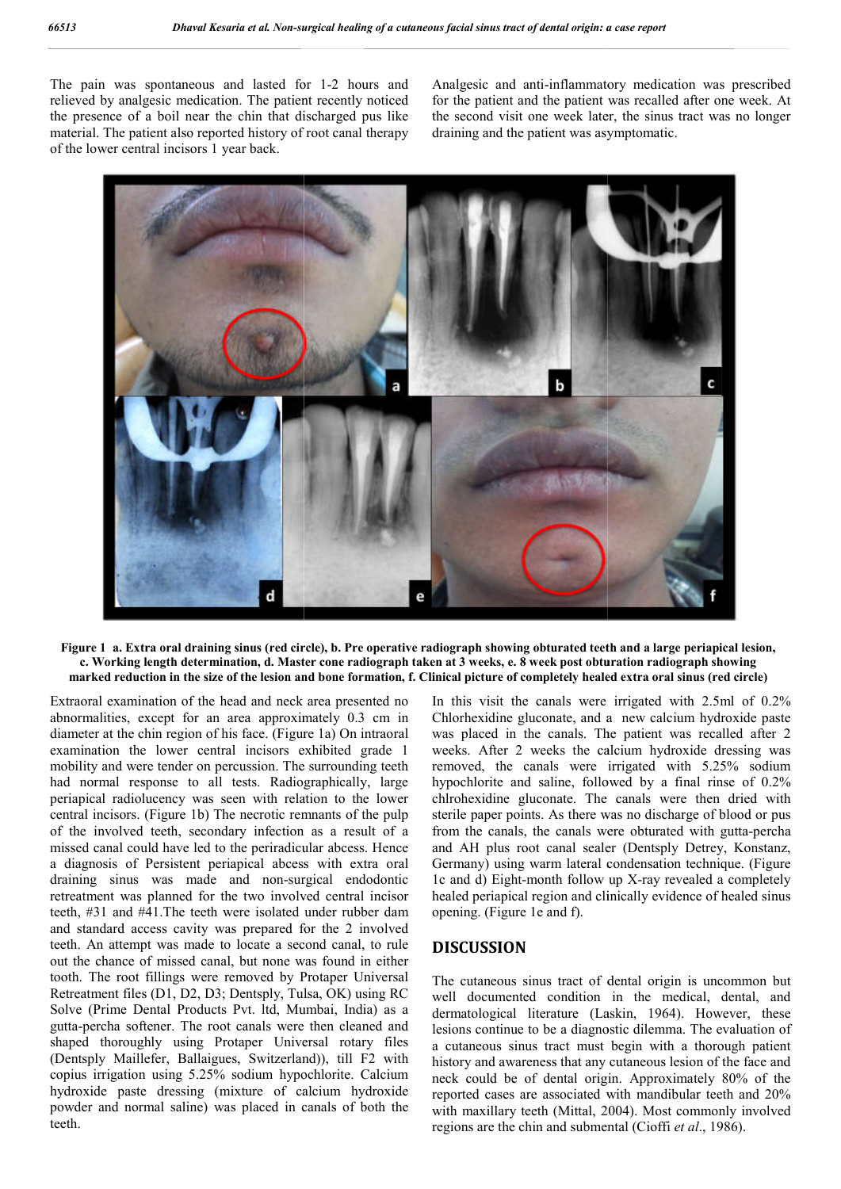The pain was spontaneous and lasted for 1 1-2 hours and relieved by analgesic medication. The patient recently noticed the presence of a boil near the chin that discharged pus like material. The patient also reported history of root canal therapy of the lower central incisors 1 year back.

Analgesic and anti-inflammatory medication was prescribed for the patient and the patient was recalled after one week. At the second visit one week later, the sinus tract was no longer draining and the patient was asymptomatic.



**Figure 1 a. Extra oral draining sinus (red circle), b. Pre operative radiograph showing obturated teeth and a large periapic 1 showing obturated periapical lesion, c. Working length determination, d. Master cone radiograph taken at 3 weeks, e. 8 week post obturation radiograph showing marked reduction in the size of the lesion and bone formation, f. Clinical picture of completely heale week post of of completely healed extra oral sinus (red circle)**

Extraoral examination of the head and neck area presented no abnormalities, except for an area approximately 0.3 cm in diameter at the chin region of his face. (Figure 1a) On intraoral examination the lower central incisors exhibited grade 1 mobility and were tender on percussion. The surrounding teeth had normal response to all tests. Radiographically, large periapical radiolucency was seen with relation to the lower central incisors. (Figure 1b) The necrotic remnants of the pulp of the involved teeth, secondary infection as a result of a missed canal could have led to the periradicular abcess. a diagnosis of Persistent periapical abcess with extra oral draining sinus was made and non-surgical endodontic draining sinus was made and non-surgical endodontic<br>retreatment was planned for the two involved central incisor teeth, #31 and #41.The teeth were isolated under rubber dam and standard access cavity was prepared for the 2 involved teeth. An attempt was made to locate a second canal, to rule out the chance of missed canal, but none was found in either tooth. The root fillings were removed by Protaper Universal Retreatment files (D1, D2, D3; Dentsply, Tulsa, OK) using RC Solve (Prime Dental Products Pvt. ltd, Mumbai, India) as a gutta-percha softener. The root canals were then cleaned and shaped thoroughly using Protaper Universal rotary files (Dentsply Maillefer, Ballaigues, Switzerland)), till F2 with copius irrigation using 5.25% sodium hypochlorite. Calcium hydroxide paste dressing (mixture of calcium hydroxide powder and normal saline) was placed in canals of both the teeth. ere tender on percussion. The surrounding teeth<br>esponse to all tests. Radiographically, large<br>olucency was seen with relation to the lower<br>(Figure 1b) The necrotic remnants of the pulp<br>d teeth, secondary infection as a res eeth, #31 and #41.The teeth were isolated under rubber dam<br>nnd standard access cavity was prepared for the 2 involved<br>eeth. An attempt was made to locate a second canal, to rule<br>out the chance of missed canal, but none was In this visit the canals were irrigated with 2.5ml of 0.2% Chlorhexidine gluconate, and a new calcium hydroxide paste was placed in the canals. The patient was recalled after 2 weeks. After 2 weeks the calcium hydroxide dressing was removed, the canals were irrigated with 5.25% sodium hypochlorite and saline, followed by a final rinse of 0.2% chlrohexidine gluconate. The canals were then dried with sterile paper points. As there was no discharge of blood or pus from the canals, the canals were obturated with gutta-percha and AH plus root canal sealer (Dentsply Detrey, Konstanz, Germany) using warm lateral condensation technique. (Figure and AH plus root canal sealer (Dentsply Detrey, Konstanz, Germany) using warm lateral condensation technique. (Figure 1c and d) Eight-month follow up X-ray revealed a completely healed periapical region and clinically evidence of healed sinus opening. (Figure 1e and f). the canals were irrigated with 5.25% sodium<br>te and saline, followed by a final rinse of 0.2%<br>ine gluconate. The canals were then dried with<br>er points. As there was no discharge of blood or pus<br>anals, the canals were obtura

# **DISCUSSION**

The cutaneous sinus tract of dental origin is uncommon but well documented condition in the medical, dental, and dermatological literature (Laskin, 1964). However, these lesions continue to be a diagnostic dilemma. The evaluation of a cutaneous sinus tract must begin with a thorough patient history and awareness that any cutaneous lesion of the face and lesions continue to be a diagnostic dilemma. The evaluation of a cutaneous sinus tract must begin with a thorough patient history and awareness that any cutaneous lesion of the face and neck could be of dental origin. Appr reported cases are associated with mandibular teeth and 20% reported cases are associated with mandibular teeth and 20% with maxillary teeth (Mittal, 2004). Most commonly involved regions are the chin and submental (Cioffi *et al*., 1986). d clinically evidence of healed sinus<br>of dental origin is uncommon but<br>ion in the medical, dental, and<br>(Laskin, 1964). However, these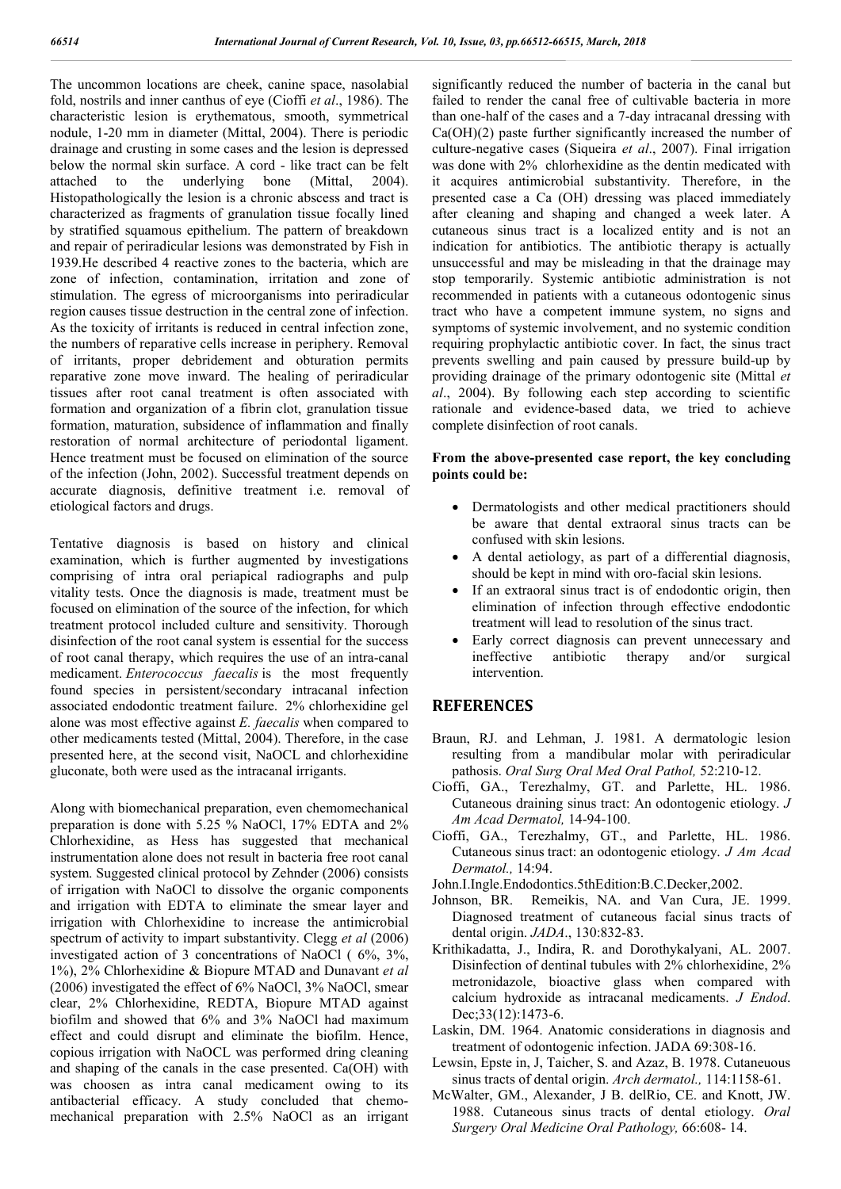The uncommon locations are cheek, canine space, nasolabial fold, nostrils and inner canthus of eye (Cioffi *et al*., 1986). The characteristic lesion is erythematous, smooth, symmetrical nodule, 1-20 mm in diameter (Mittal, 2004). There is periodic drainage and crusting in some cases and the lesion is depressed below the normal skin surface. A cord - like tract can be felt attached to the underlying bone (Mittal, 2004). Histopathologically the lesion is a chronic abscess and tract is characterized as fragments of granulation tissue focally lined by stratified squamous epithelium. The pattern of breakdown and repair of periradicular lesions was demonstrated by Fish in 1939.He described 4 reactive zones to the bacteria, which are zone of infection, contamination, irritation and zone of stimulation. The egress of microorganisms into periradicular region causes tissue destruction in the central zone of infection. As the toxicity of irritants is reduced in central infection zone, the numbers of reparative cells increase in periphery. Removal of irritants, proper debridement and obturation permits reparative zone move inward. The healing of periradicular tissues after root canal treatment is often associated with formation and organization of a fibrin clot, granulation tissue formation, maturation, subsidence of inflammation and finally restoration of normal architecture of periodontal ligament. Hence treatment must be focused on elimination of the source of the infection (John, 2002). Successful treatment depends on accurate diagnosis, definitive treatment i.e. removal of etiological factors and drugs.

Tentative diagnosis is based on history and clinical examination, which is further augmented by investigations comprising of intra oral periapical radiographs and pulp vitality tests. Once the diagnosis is made, treatment must be focused on elimination of the source of the infection, for which treatment protocol included culture and sensitivity. Thorough disinfection of the root canal system is essential for the success of root canal therapy, which requires the use of an intra-canal medicament. *Enterococcus faecalis* is the most frequently found species in persistent/secondary intracanal infection associated endodontic treatment failure. 2% chlorhexidine gel alone was most effective against *E. faecalis* when compared to other medicaments tested (Mittal, 2004). Therefore, in the case presented here, at the second visit, NaOCL and chlorhexidine gluconate, both were used as the intracanal irrigants.

Along with biomechanical preparation, even chemomechanical preparation is done with 5.25 % NaOCl, 17% EDTA and 2% Chlorhexidine, as Hess has suggested that mechanical instrumentation alone does not result in bacteria free root canal system. Suggested clinical protocol by Zehnder (2006) consists of irrigation with NaOCl to dissolve the organic components and irrigation with EDTA to eliminate the smear layer and irrigation with Chlorhexidine to increase the antimicrobial spectrum of activity to impart substantivity. Clegg *et al* (2006) investigated action of 3 concentrations of NaOCl ( 6%, 3%, 1%), 2% Chlorhexidine & Biopure MTAD and Dunavant *et al* (2006) investigated the effect of 6% NaOCl, 3% NaOCl, smear clear, 2% Chlorhexidine, REDTA, Biopure MTAD against biofilm and showed that 6% and 3% NaOCl had maximum effect and could disrupt and eliminate the biofilm. Hence, copious irrigation with NaOCL was performed dring cleaning and shaping of the canals in the case presented. Ca(OH) with was choosen as intra canal medicament owing to its antibacterial efficacy. A study concluded that chemomechanical preparation with 2.5% NaOCl as an irrigant significantly reduced the number of bacteria in the canal but failed to render the canal free of cultivable bacteria in more than one-half of the cases and a 7-day intracanal dressing with Ca(OH)(2) paste further significantly increased the number of culture-negative cases (Siqueira *et al*., 2007). Final irrigation was done with 2% chlorhexidine as the dentin medicated with it acquires antimicrobial substantivity. Therefore, in the presented case a Ca (OH) dressing was placed immediately after cleaning and shaping and changed a week later. A cutaneous sinus tract is a localized entity and is not an indication for antibiotics. The antibiotic therapy is actually unsuccessful and may be misleading in that the drainage may stop temporarily. Systemic antibiotic administration is not recommended in patients with a cutaneous odontogenic sinus tract who have a competent immune system, no signs and symptoms of systemic involvement, and no systemic condition requiring prophylactic antibiotic cover. In fact, the sinus tract prevents swelling and pain caused by pressure build-up by providing drainage of the primary odontogenic site (Mittal *et al*., 2004). By following each step according to scientific rationale and evidence-based data, we tried to achieve complete disinfection of root canals.

### **From the above-presented case report, the key concluding points could be:**

- Dermatologists and other medical practitioners should be aware that dental extraoral sinus tracts can be confused with skin lesions.
- A dental aetiology, as part of a differential diagnosis, should be kept in mind with oro-facial skin lesions.
- If an extraoral sinus tract is of endodontic origin, then elimination of infection through effective endodontic treatment will lead to resolution of the sinus tract.
- Early correct diagnosis can prevent unnecessary and ineffective antibiotic therapy and/or surgical intervention.

# **REFERENCES**

- Braun, RJ. and Lehman, J. 1981. A dermatologic lesion resulting from a mandibular molar with periradicular pathosis. *Oral Surg Oral Med Oral Pathol,* 52:210-12.
- Cioffi, GA., Terezhalmy, GT. and Parlette, HL. 1986. Cutaneous draining sinus tract: An odontogenic etiology. *J Am Acad Dermatol,* 14-94-100.
- Cioffi, GA., Terezhalmy, GT., and Parlette, HL. 1986. Cutaneous sinus tract: an odontogenic etiology. *J Am Acad Dermatol.,* 14:94.
- John.I.Ingle.Endodontics.5thEdition:B.C.Decker,2002.
- Johnson, BR. Remeikis, NA. and Van Cura, JE. 1999. Diagnosed treatment of cutaneous facial sinus tracts of dental origin. *JADA*., 130:832-83.
- Krithikadatta, J., Indira, R. and Dorothykalyani, AL. 2007. Disinfection of dentinal tubules with 2% chlorhexidine, 2% metronidazole, bioactive glass when compared with calcium hydroxide as intracanal medicaments. *J Endod*. Dec: 33(12): 1473-6.
- Laskin, DM. 1964. Anatomic considerations in diagnosis and treatment of odontogenic infection. JADA 69:308-16.
- Lewsin, Epste in, J, Taicher, S. and Azaz, B. 1978. Cutaneuous sinus tracts of dental origin. *Arch dermatol.,* 114:1158-61.
- McWalter, GM., Alexander, J B. delRio, CE. and Knott, JW. 1988. Cutaneous sinus tracts of dental etiology. *Oral Surgery Oral Medicine Oral Pathology,* 66:608- 14.